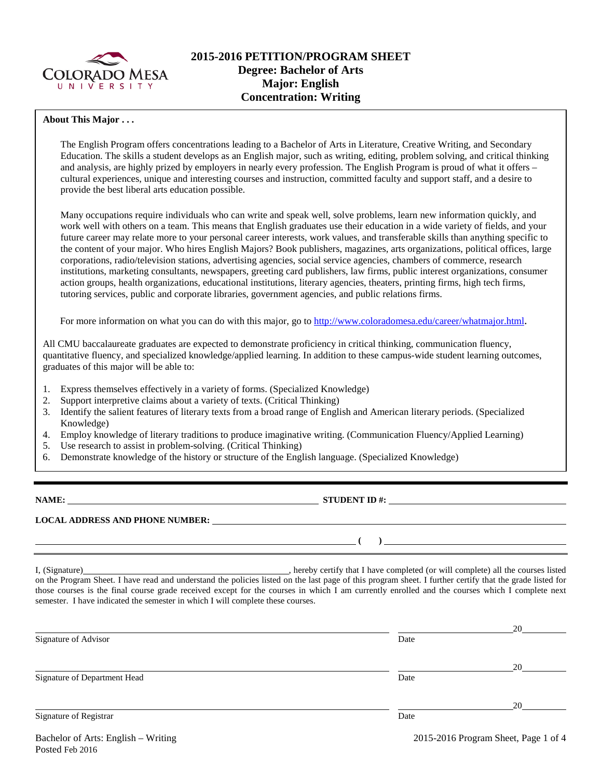

### **About This Major . . .**

The English Program offers concentrations leading to a Bachelor of Arts in Literature, Creative Writing, and Secondary Education. The skills a student develops as an English major, such as writing, editing, problem solving, and critical thinking and analysis, are highly prized by employers in nearly every profession. The English Program is proud of what it offers – cultural experiences, unique and interesting courses and instruction, committed faculty and support staff, and a desire to provide the best liberal arts education possible.

Many occupations require individuals who can write and speak well, solve problems, learn new information quickly, and work well with others on a team. This means that English graduates use their education in a wide variety of fields, and your future career may relate more to your personal career interests, work values, and transferable skills than anything specific to the content of your major. Who hires English Majors? Book publishers, magazines, arts organizations, political offices, large corporations, radio/television stations, advertising agencies, social service agencies, chambers of commerce, research institutions, marketing consultants, newspapers, greeting card publishers, law firms, public interest organizations, consumer action groups, health organizations, educational institutions, literary agencies, theaters, printing firms, high tech firms, tutoring services, public and corporate libraries, government agencies, and public relations firms.

For more information on what you can do with this major, go to [http://www.coloradomesa.edu/career/whatmajor.html.](http://www.coloradomesa.edu/career/whatmajor.html)

All CMU baccalaureate graduates are expected to demonstrate proficiency in critical thinking, communication fluency, quantitative fluency, and specialized knowledge/applied learning. In addition to these campus-wide student learning outcomes, graduates of this major will be able to:

- 1. Express themselves effectively in a variety of forms. (Specialized Knowledge)
- 2. Support interpretive claims about a variety of texts. (Critical Thinking)
- 3. Identify the salient features of literary texts from a broad range of English and American literary periods. (Specialized Knowledge)
- 4. Employ knowledge of literary traditions to produce imaginative writing. (Communication Fluency/Applied Learning)
- 5. Use research to assist in problem-solving. (Critical Thinking)
- 6. Demonstrate knowledge of the history or structure of the English language. (Specialized Knowledge)

**NAME: STUDENT ID #:**

**( )** 

# **LOCAL ADDRESS AND PHONE NUMBER:**

I, (Signature) , hereby certify that I have completed (or will complete) all the courses listed on the Program Sheet. I have read and understand the policies listed on the last page of this program sheet. I further certify that the grade listed for those courses is the final course grade received except for the courses in which I am currently enrolled and the courses which I complete next semester. I have indicated the semester in which I will complete these courses.

|                              |      | 20 |
|------------------------------|------|----|
| Signature of Advisor         | Date |    |
|                              |      |    |
| Signature of Department Head | Date | 20 |
|                              |      | 20 |
| Signature of Registrar       | Date |    |

Bachelor of Arts: English – Writing 2015-2016 Program Sheet, Page 1 of 4 Posted Feb 2016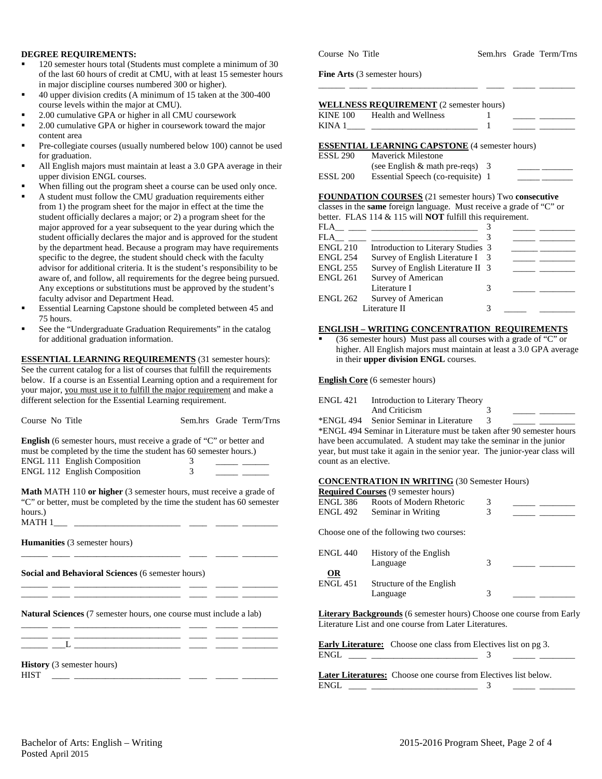#### **DEGREE REQUIREMENTS:**

- 120 semester hours total (Students must complete a minimum of 30 of the last 60 hours of credit at CMU, with at least 15 semester hours in major discipline courses numbered 300 or higher).
- 40 upper division credits (A minimum of 15 taken at the 300-400 course levels within the major at CMU).
- 2.00 cumulative GPA or higher in all CMU coursework
- 2.00 cumulative GPA or higher in coursework toward the major content area
- Pre-collegiate courses (usually numbered below 100) cannot be used for graduation.
- All English majors must maintain at least a 3.0 GPA average in their upper division ENGL courses.
- When filling out the program sheet a course can be used only once.
- A student must follow the CMU graduation requirements either from 1) the program sheet for the major in effect at the time the student officially declares a major; or 2) a program sheet for the major approved for a year subsequent to the year during which the student officially declares the major and is approved for the student by the department head. Because a program may have requirements specific to the degree, the student should check with the faculty advisor for additional criteria. It is the student's responsibility to be aware of, and follow, all requirements for the degree being pursued. Any exceptions or substitutions must be approved by the student's faculty advisor and Department Head.
- Essential Learning Capstone should be completed between 45 and 75 hours.
- See the "Undergraduate Graduation Requirements" in the catalog for additional graduation information.

**ESSENTIAL LEARNING REQUIREMENTS** (31 semester hours): See the current catalog for a list of courses that fulfill the requirements below. If a course is an Essential Learning option and a requirement for your major, you must use it to fulfill the major requirement and make a different selection for the Essential Learning requirement.

Course No Title Sem.hrs Grade Term/Trns

**English** (6 semester hours, must receive a grade of "C" or better and must be completed by the time the student has 60 semester hours.) ENGL 111 English Composition 3<br>ENGL 112 English Composition 3 ENGL 112 English Composition 3 \_\_\_\_\_ \_\_\_

**Math** MATH 110 **or higher** (3 semester hours, must receive a grade of "C" or better, must be completed by the time the student has 60 semester hours.)<br>MATH  $1_{\_\_\_\_\_\_\_\_\_\_}$ 

\_\_\_\_\_\_ \_\_\_\_ \_\_\_\_\_\_\_\_\_\_\_\_\_\_\_\_\_\_\_\_\_\_\_\_ \_\_\_\_ \_\_\_\_\_ \_\_\_\_\_\_\_\_

\_\_\_\_\_\_ \_\_\_\_ \_\_\_\_\_\_\_\_\_\_\_\_\_\_\_\_\_\_\_\_\_\_\_\_ \_\_\_\_ \_\_\_\_\_ \_\_\_\_\_\_\_\_ \_\_\_\_\_\_ \_\_\_\_ \_\_\_\_\_\_\_\_\_\_\_\_\_\_\_\_\_\_\_\_\_\_\_\_ \_\_\_\_ \_\_\_\_\_ \_\_\_\_\_\_\_\_

MATH 1\_\_\_ \_\_\_\_\_\_\_\_\_\_\_\_\_\_\_\_\_\_\_\_\_\_\_\_ \_\_\_\_ \_\_\_\_\_ \_\_\_\_\_\_\_\_

 $\frac{1}{\sqrt{2\pi}}$  ,  $\frac{1}{\sqrt{2\pi}}$  ,  $\frac{1}{\sqrt{2\pi}}$  ,  $\frac{1}{\sqrt{2\pi}}$ 

**Humanities** (3 semester hours)

**Social and Behavioral Sciences** (6 semester hours)

**Natural Sciences** (7 semester hours, one course must include a lab)

\_\_\_\_\_\_ \_\_\_\_ \_\_\_\_\_\_\_\_\_\_\_\_\_\_\_\_\_\_\_\_\_\_\_\_ \_\_\_\_ \_\_\_\_\_ \_\_\_\_\_\_\_\_ \_\_\_\_\_\_ \_\_\_\_ \_\_\_\_\_\_\_\_\_\_\_\_\_\_\_\_\_\_\_\_\_\_\_\_ \_\_\_\_ \_\_\_\_\_ \_\_\_\_\_\_\_\_  $\_\_$   $\_$   $\_$   $\_$ 

**History** (3 semester hours)

Course No Title Sem.hrs Grade Term/Trns

**Fine Arts** (3 semester hours)

|                 | <b>WELLNESS REQUIREMENT</b> (2 semester hours) |  |
|-----------------|------------------------------------------------|--|
| <b>KINE 100</b> | Health and Wellness                            |  |
| KINA 1          |                                                |  |

\_\_\_\_\_\_ \_\_\_\_ \_\_\_\_\_\_\_\_\_\_\_\_\_\_\_\_\_\_\_\_\_\_\_\_ \_\_\_\_ \_\_\_\_\_ \_\_\_\_\_\_\_\_

#### **ESSENTIAL LEARNING CAPSTONE** (4 semester hours)

| ESSL 290 | <b>Maverick Milestone</b>          |  |
|----------|------------------------------------|--|
|          | (see English $\&$ math pre-reqs) 3 |  |
| ESSL 200 | Essential Speech (co-requisite) 1  |  |

**FOUNDATION COURSES** (21 semester hours) Two **consecutive** classes in the **same** foreign language. Must receive a grade of "C" or better. FLAS 114 & 115 will **NOT** fulfill this requirement.

| <b>FLA</b>      |                                    |  |
|-----------------|------------------------------------|--|
| <b>FLA</b>      |                                    |  |
| <b>ENGL 210</b> | Introduction to Literary Studies 3 |  |
| <b>ENGL 254</b> | Survey of English Literature I 3   |  |
| <b>ENGL 255</b> | Survey of English Literature II 3  |  |
| <b>ENGL 261</b> | Survey of American                 |  |
|                 | Literature I                       |  |
| <b>ENGL 262</b> | Survey of American                 |  |
|                 | Literature II                      |  |

#### **ENGLISH – WRITING CONCENTRATION REQUIREMENTS**

 (36 semester hours) Must pass all courses with a grade of "C" or higher. All English majors must maintain at least a 3.0 GPA average in their **upper division ENGL** courses.

**English Core** (6 semester hours)

| ENGL 421 | Introduction to Literary Theory        |  |  |
|----------|----------------------------------------|--|--|
|          | And Criticism                          |  |  |
|          | *ENGL 494 Senior Seminar in Literature |  |  |

\*ENGL 494 Seminar in Literature must be taken after 90 semester hours have been accumulated. A student may take the seminar in the junior

year, but must take it again in the senior year. The junior-year class will count as an elective.

#### **CONCENTRATION IN WRITING** (30 Semester Hours)

|                 | <b>Required Courses (9 semester hours)</b>                                                                                            |   |  |
|-----------------|---------------------------------------------------------------------------------------------------------------------------------------|---|--|
| <b>ENGL 386</b> | Roots of Modern Rhetoric                                                                                                              | 3 |  |
| ENGL 492        | Seminar in Writing                                                                                                                    | 3 |  |
|                 | Choose one of the following two courses:                                                                                              |   |  |
| <b>ENGL 440</b> | History of the English                                                                                                                |   |  |
|                 | Language                                                                                                                              | 3 |  |
| OR              |                                                                                                                                       |   |  |
| <b>ENGL 451</b> | Structure of the English                                                                                                              |   |  |
|                 | Language                                                                                                                              | 3 |  |
|                 | <b>Literary Backgrounds</b> (6 semester hours) Choose one course from Early<br>Literature List and one course from Later Literatures. |   |  |

**Early Literature:** Choose one class from Electives list on pg 3. ENGL \_\_\_\_ \_\_\_\_\_\_\_\_\_\_\_\_\_\_\_\_\_\_\_\_\_\_\_\_ 3 \_\_\_\_\_ \_\_\_\_\_\_\_\_

**Later Literatures:** Choose one course from Electives list below. ENGL \_\_\_\_ \_\_\_\_\_\_\_\_\_\_\_\_\_\_\_\_\_\_\_\_\_\_\_\_ 3 \_\_\_\_\_ \_\_\_\_\_\_\_\_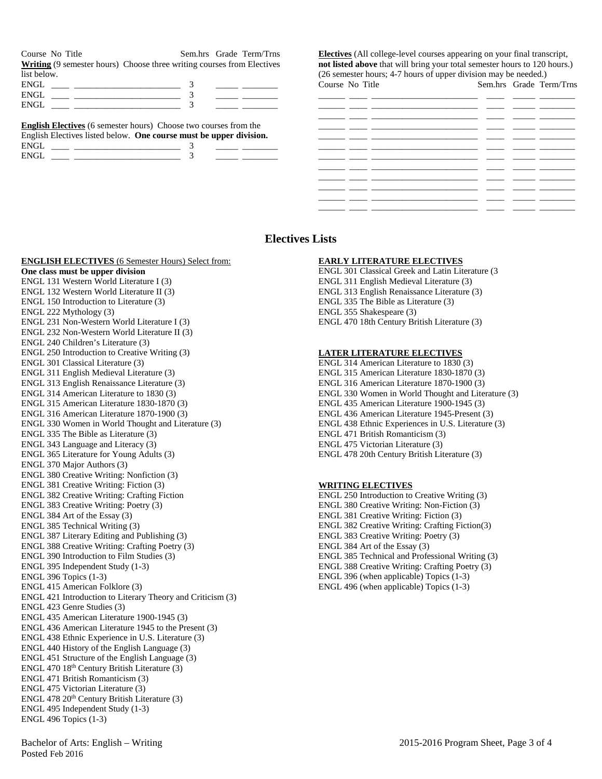Course No Title Sem.hrs Grade Term/Trns **Writing** (9 semester hours) Choose three writing courses from Electives list below.

| 1101001011. |  |  |
|-------------|--|--|
| EN.         |  |  |
| ENIC.       |  |  |
|             |  |  |

|      | <b>English Electives</b> (6 semester hours) Choose two courses from the |
|------|-------------------------------------------------------------------------|
|      | English Electives listed below. One course must be upper division.      |
| ENGL |                                                                         |
| ENGL |                                                                         |

**Electives** (All college-level courses appearing on your final transcript, **not listed above** that will bring your total semester hours to 120 hours.) (26 semester hours; 4-7 hours of upper division may be needed.)<br>Course No Title Sem hrs Grade Te Sem hrs Grade Term/Trns

| COULD THE THIRT |  | $50.11.113$ $0.1400$ $10.111$ $111.3$ |
|-----------------|--|---------------------------------------|
|                 |  | the control of the control of         |
|                 |  |                                       |
|                 |  |                                       |
|                 |  |                                       |
|                 |  |                                       |
|                 |  |                                       |
|                 |  |                                       |
|                 |  |                                       |
|                 |  |                                       |
|                 |  |                                       |
|                 |  |                                       |
| ____            |  |                                       |

## **Electives Lists**

**ENGLISH ELECTIVES** (6 Semester Hours) Select from: **One class must be upper division** ENGL 131 Western World Literature I (3) ENGL 132 Western World Literature II (3) ENGL 150 Introduction to Literature (3) ENGL 222 Mythology (3) ENGL 231 Non-Western World Literature I (3) ENGL 232 Non-Western World Literature II (3) ENGL 240 Children's Literature (3) ENGL 250 Introduction to Creative Writing (3) ENGL 301 Classical Literature (3) ENGL 311 English Medieval Literature (3) ENGL 313 English Renaissance Literature (3) ENGL 314 American Literature to 1830 (3) ENGL 315 American Literature 1830-1870 (3) ENGL 316 American Literature 1870-1900 (3) ENGL 330 Women in World Thought and Literature (3) ENGL 335 The Bible as Literature (3) ENGL 343 Language and Literacy (3) ENGL 365 Literature for Young Adults (3) ENGL 370 Major Authors (3) ENGL 380 Creative Writing: Nonfiction (3) ENGL 381 Creative Writing: Fiction (3) ENGL 382 Creative Writing: Crafting Fiction ENGL 383 Creative Writing: Poetry (3) ENGL 384 Art of the Essay (3) ENGL 385 Technical Writing (3) ENGL 387 Literary Editing and Publishing (3) ENGL 388 Creative Writing: Crafting Poetry (3) ENGL 390 Introduction to Film Studies (3) ENGL 395 Independent Study (1-3) ENGL 396 Topics (1-3) ENGL 415 American Folklore (3) ENGL 421 Introduction to Literary Theory and Criticism (3) ENGL 423 Genre Studies (3) ENGL 435 American Literature 1900-1945 (3) ENGL 436 American Literature 1945 to the Present (3) ENGL 438 Ethnic Experience in U.S. Literature (3) ENGL 440 History of the English Language (3) ENGL 451 Structure of the English Language (3) ENGL 470 18th Century British Literature (3) ENGL 471 British Romanticism (3) ENGL 475 Victorian Literature (3) ENGL 478 20<sup>th</sup> Century British Literature (3) ENGL 495 Independent Study (1-3) ENGL 496 Topics (1-3)

### **EARLY LITERATURE ELECTIVES**

ENGL 301 Classical Greek and Latin Literature (3 ENGL 311 English Medieval Literature (3) ENGL 313 English Renaissance Literature (3) ENGL 335 The Bible as Literature (3) ENGL 355 Shakespeare (3) ENGL 470 18th Century British Literature (3)

#### **LATER LITERATURE ELECTIVES**

ENGL 314 American Literature to 1830 (3) ENGL 315 American Literature 1830-1870 (3) ENGL 316 American Literature 1870-1900 (3) ENGL 330 Women in World Thought and Literature (3) ENGL 435 American Literature 1900-1945 (3) ENGL 436 American Literature 1945-Present (3) ENGL 438 Ethnic Experiences in U.S. Literature (3) ENGL 471 British Romanticism (3) ENGL 475 Victorian Literature (3) ENGL 478 20th Century British Literature (3)

#### **WRITING ELECTIVES**

ENGL 250 Introduction to Creative Writing (3) ENGL 380 Creative Writing: Non-Fiction (3) ENGL 381 Creative Writing: Fiction (3) ENGL 382 Creative Writing: Crafting Fiction(3) ENGL 383 Creative Writing: Poetry (3) ENGL 384 Art of the Essay (3) ENGL 385 Technical and Professional Writing (3) ENGL 388 Creative Writing: Crafting Poetry (3) ENGL 396 (when applicable) Topics (1-3) ENGL 496 (when applicable) Topics (1-3)